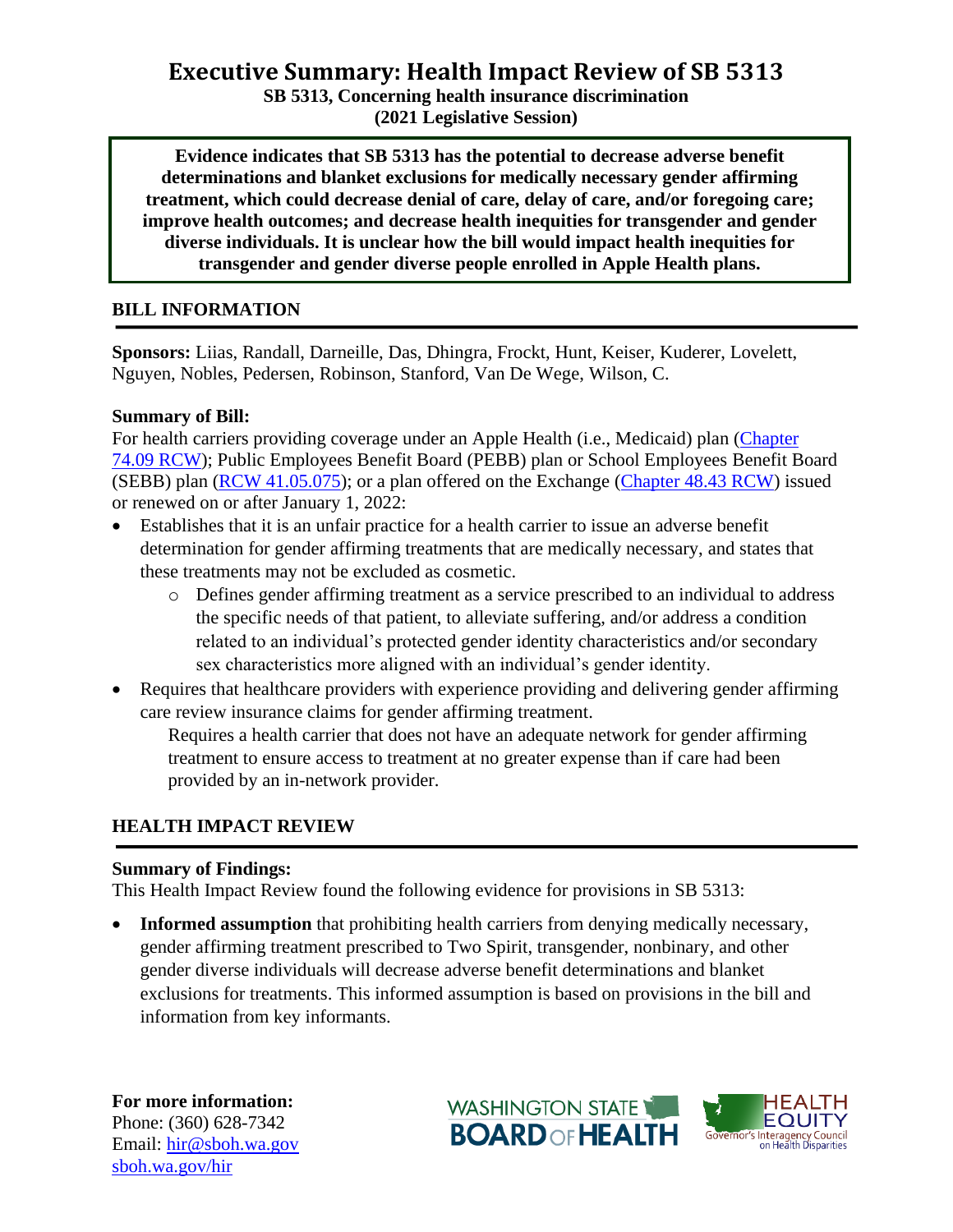# **Executive Summary: Health Impact Review of SB 5313**

**SB 5313, Concerning health insurance discrimination**

**(2021 Legislative Session)**

**Evidence indicates that SB 5313 has the potential to decrease adverse benefit determinations and blanket exclusions for medically necessary gender affirming treatment, which could decrease denial of care, delay of care, and/or foregoing care; improve health outcomes; and decrease health inequities for transgender and gender diverse individuals. It is unclear how the bill would impact health inequities for transgender and gender diverse people enrolled in Apple Health plans.** 

## **BILL INFORMATION**

**Sponsors:** Liias, Randall, Darneille, Das, Dhingra, Frockt, Hunt, Keiser, Kuderer, Lovelett, Nguyen, Nobles, Pedersen, Robinson, Stanford, Van De Wege, Wilson, C.

#### **Summary of Bill:**

For health carriers providing coverage under an Apple Health (i.e., Medicaid) plan [\(Chapter](https://app.leg.wa.gov/RCW/default.aspx?cite=74.09&full=true)  [74.09 RCW\)](https://app.leg.wa.gov/RCW/default.aspx?cite=74.09&full=true); Public Employees Benefit Board (PEBB) plan or School Employees Benefit Board (SEBB) plan [\(RCW 41.05.075\)](https://app.leg.wa.gov/rcw/default.aspx?cite=41.05.075); or a plan offered on the Exchange [\(Chapter 48.43 RCW\)](http://lawfilesext.leg.wa.gov/biennium/2021-22/Pdf/Bills/Senate%20Bills/5313.pdf?q=20210201134448) issued or renewed on or after January 1, 2022:

- Establishes that it is an unfair practice for a health carrier to issue an adverse benefit determination for gender affirming treatments that are medically necessary, and states that these treatments may not be excluded as cosmetic.
	- o Defines gender affirming treatment as a service prescribed to an individual to address the specific needs of that patient, to alleviate suffering, and/or address a condition related to an individual's protected gender identity characteristics and/or secondary sex characteristics more aligned with an individual's gender identity.
- Requires that healthcare providers with experience providing and delivering gender affirming care review insurance claims for gender affirming treatment.

Requires a health carrier that does not have an adequate network for gender affirming treatment to ensure access to treatment at no greater expense than if care had been provided by an in-network provider.

### **HEALTH IMPACT REVIEW**

### **Summary of Findings:**

This Health Impact Review found the following evidence for provisions in SB 5313:

• **Informed assumption** that prohibiting health carriers from denying medically necessary, gender affirming treatment prescribed to Two Spirit, transgender, nonbinary, and other gender diverse individuals will decrease adverse benefit determinations and blanket exclusions for treatments. This informed assumption is based on provisions in the bill and information from key informants.

**For more information:** Phone: (360) 628-7342 Email: [hir@sboh.wa.gov](mailto:hir@sboh.wa.gov) [sboh.wa.gov/](http://sboh.wa.gov/)hir